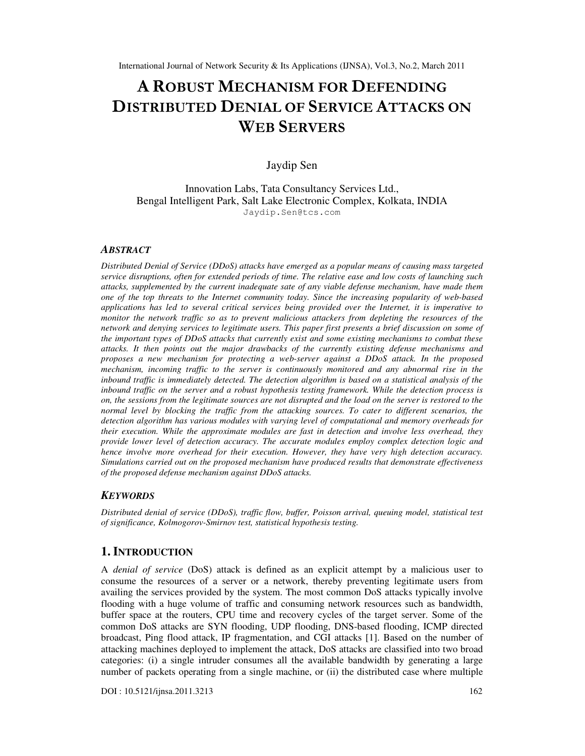# A ROBUST MECHANISM FOR DEFENDING DISTRIBUTED DENIAL OF SERVICE ATTACKS ON WEB SERVERS

# Jaydip Sen

Innovation Labs, Tata Consultancy Services Ltd., Bengal Intelligent Park, Salt Lake Electronic Complex, Kolkata, INDIA Jaydip.Sen@tcs.com

## *ABSTRACT*

*Distributed Denial of Service (DDoS) attacks have emerged as a popular means of causing mass targeted service disruptions, often for extended periods of time. The relative ease and low costs of launching such attacks, supplemented by the current inadequate sate of any viable defense mechanism, have made them one of the top threats to the Internet community today. Since the increasing popularity of web-based applications has led to several critical services being provided over the Internet, it is imperative to monitor the network traffic so as to prevent malicious attackers from depleting the resources of the network and denying services to legitimate users. This paper first presents a brief discussion on some of the important types of DDoS attacks that currently exist and some existing mechanisms to combat these attacks. It then points out the major drawbacks of the currently existing defense mechanisms and proposes a new mechanism for protecting a web-server against a DDoS attack. In the proposed mechanism, incoming traffic to the server is continuously monitored and any abnormal rise in the inbound traffic is immediately detected. The detection algorithm is based on a statistical analysis of the inbound traffic on the server and a robust hypothesis testing framework. While the detection process is on, the sessions from the legitimate sources are not disrupted and the load on the server is restored to the normal level by blocking the traffic from the attacking sources. To cater to different scenarios, the detection algorithm has various modules with varying level of computational and memory overheads for their execution. While the approximate modules are fast in detection and involve less overhead, they provide lower level of detection accuracy. The accurate modules employ complex detection logic and hence involve more overhead for their execution. However, they have very high detection accuracy. Simulations carried out on the proposed mechanism have produced results that demonstrate effectiveness of the proposed defense mechanism against DDoS attacks.*

## *KEYWORDS*

*Distributed denial of service (DDoS), traffic flow, buffer, Poisson arrival, queuing model, statistical test of significance, Kolmogorov-Smirnov test, statistical hypothesis testing.* 

# **1. INTRODUCTION**

A *denial of service* (DoS) attack is defined as an explicit attempt by a malicious user to consume the resources of a server or a network, thereby preventing legitimate users from availing the services provided by the system. The most common DoS attacks typically involve flooding with a huge volume of traffic and consuming network resources such as bandwidth, buffer space at the routers, CPU time and recovery cycles of the target server. Some of the common DoS attacks are SYN flooding, UDP flooding, DNS-based flooding, ICMP directed broadcast, Ping flood attack, IP fragmentation, and CGI attacks [1]. Based on the number of attacking machines deployed to implement the attack, DoS attacks are classified into two broad categories: (i) a single intruder consumes all the available bandwidth by generating a large number of packets operating from a single machine, or (ii) the distributed case where multiple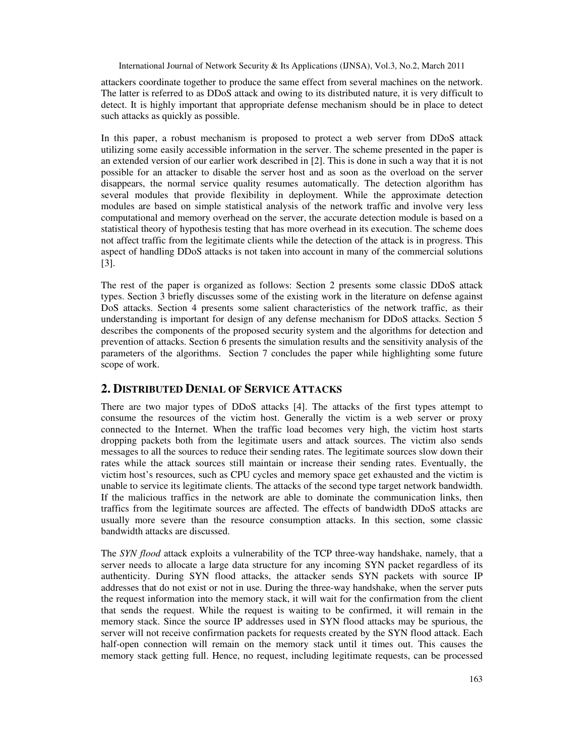attackers coordinate together to produce the same effect from several machines on the network. The latter is referred to as DDoS attack and owing to its distributed nature, it is very difficult to detect. It is highly important that appropriate defense mechanism should be in place to detect such attacks as quickly as possible.

In this paper, a robust mechanism is proposed to protect a web server from DDoS attack utilizing some easily accessible information in the server. The scheme presented in the paper is an extended version of our earlier work described in [2]. This is done in such a way that it is not possible for an attacker to disable the server host and as soon as the overload on the server disappears, the normal service quality resumes automatically. The detection algorithm has several modules that provide flexibility in deployment. While the approximate detection modules are based on simple statistical analysis of the network traffic and involve very less computational and memory overhead on the server, the accurate detection module is based on a statistical theory of hypothesis testing that has more overhead in its execution. The scheme does not affect traffic from the legitimate clients while the detection of the attack is in progress. This aspect of handling DDoS attacks is not taken into account in many of the commercial solutions [3].

The rest of the paper is organized as follows: Section 2 presents some classic DDoS attack types. Section 3 briefly discusses some of the existing work in the literature on defense against DoS attacks. Section 4 presents some salient characteristics of the network traffic, as their understanding is important for design of any defense mechanism for DDoS attacks. Section 5 describes the components of the proposed security system and the algorithms for detection and prevention of attacks. Section 6 presents the simulation results and the sensitivity analysis of the parameters of the algorithms. Section 7 concludes the paper while highlighting some future scope of work.

# **2. DISTRIBUTED DENIAL OF SERVICE ATTACKS**

There are two major types of DDoS attacks [4]. The attacks of the first types attempt to consume the resources of the victim host. Generally the victim is a web server or proxy connected to the Internet. When the traffic load becomes very high, the victim host starts dropping packets both from the legitimate users and attack sources. The victim also sends messages to all the sources to reduce their sending rates. The legitimate sources slow down their rates while the attack sources still maintain or increase their sending rates. Eventually, the victim host's resources, such as CPU cycles and memory space get exhausted and the victim is unable to service its legitimate clients. The attacks of the second type target network bandwidth. If the malicious traffics in the network are able to dominate the communication links, then traffics from the legitimate sources are affected. The effects of bandwidth DDoS attacks are usually more severe than the resource consumption attacks. In this section, some classic bandwidth attacks are discussed.

The *SYN flood* attack exploits a vulnerability of the TCP three-way handshake, namely, that a server needs to allocate a large data structure for any incoming SYN packet regardless of its authenticity. During SYN flood attacks, the attacker sends SYN packets with source IP addresses that do not exist or not in use. During the three-way handshake, when the server puts the request information into the memory stack, it will wait for the confirmation from the client that sends the request. While the request is waiting to be confirmed, it will remain in the memory stack. Since the source IP addresses used in SYN flood attacks may be spurious, the server will not receive confirmation packets for requests created by the SYN flood attack. Each half-open connection will remain on the memory stack until it times out. This causes the memory stack getting full. Hence, no request, including legitimate requests, can be processed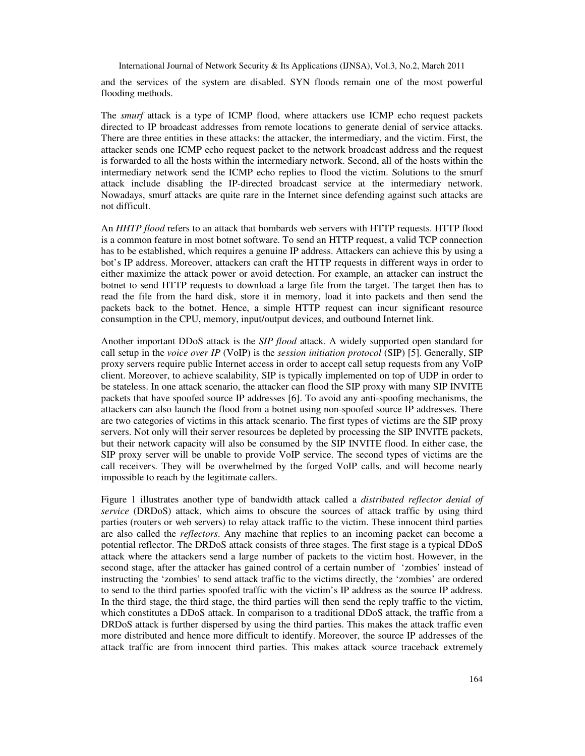and the services of the system are disabled. SYN floods remain one of the most powerful flooding methods.

The *smurf* attack is a type of ICMP flood, where attackers use ICMP echo request packets directed to IP broadcast addresses from remote locations to generate denial of service attacks. There are three entities in these attacks: the attacker, the intermediary, and the victim. First, the attacker sends one ICMP echo request packet to the network broadcast address and the request is forwarded to all the hosts within the intermediary network. Second, all of the hosts within the intermediary network send the ICMP echo replies to flood the victim. Solutions to the smurf attack include disabling the IP-directed broadcast service at the intermediary network. Nowadays, smurf attacks are quite rare in the Internet since defending against such attacks are not difficult.

An *HHTP flood* refers to an attack that bombards web servers with HTTP requests. HTTP flood is a common feature in most botnet software. To send an HTTP request, a valid TCP connection has to be established, which requires a genuine IP address. Attackers can achieve this by using a bot's IP address. Moreover, attackers can craft the HTTP requests in different ways in order to either maximize the attack power or avoid detection. For example, an attacker can instruct the botnet to send HTTP requests to download a large file from the target. The target then has to read the file from the hard disk, store it in memory, load it into packets and then send the packets back to the botnet. Hence, a simple HTTP request can incur significant resource consumption in the CPU, memory, input/output devices, and outbound Internet link.

Another important DDoS attack is the *SIP flood* attack. A widely supported open standard for call setup in the *voice over IP* (VoIP) is the *session initiation protocol* (SIP) [5]. Generally, SIP proxy servers require public Internet access in order to accept call setup requests from any VoIP client. Moreover, to achieve scalability, SIP is typically implemented on top of UDP in order to be stateless. In one attack scenario, the attacker can flood the SIP proxy with many SIP INVITE packets that have spoofed source IP addresses [6]. To avoid any anti-spoofing mechanisms, the attackers can also launch the flood from a botnet using non-spoofed source IP addresses. There are two categories of victims in this attack scenario. The first types of victims are the SIP proxy servers. Not only will their server resources be depleted by processing the SIP INVITE packets, but their network capacity will also be consumed by the SIP INVITE flood. In either case, the SIP proxy server will be unable to provide VoIP service. The second types of victims are the call receivers. They will be overwhelmed by the forged VoIP calls, and will become nearly impossible to reach by the legitimate callers.

Figure 1 illustrates another type of bandwidth attack called a *distributed reflector denial of service* (DRDoS) attack, which aims to obscure the sources of attack traffic by using third parties (routers or web servers) to relay attack traffic to the victim. These innocent third parties are also called the *reflectors*. Any machine that replies to an incoming packet can become a potential reflector. The DRDoS attack consists of three stages. The first stage is a typical DDoS attack where the attackers send a large number of packets to the victim host. However, in the second stage, after the attacker has gained control of a certain number of 'zombies' instead of instructing the 'zombies' to send attack traffic to the victims directly, the 'zombies' are ordered to send to the third parties spoofed traffic with the victim's IP address as the source IP address. In the third stage, the third stage, the third parties will then send the reply traffic to the victim, which constitutes a DDoS attack. In comparison to a traditional DDoS attack, the traffic from a DRDoS attack is further dispersed by using the third parties. This makes the attack traffic even more distributed and hence more difficult to identify. Moreover, the source IP addresses of the attack traffic are from innocent third parties. This makes attack source traceback extremely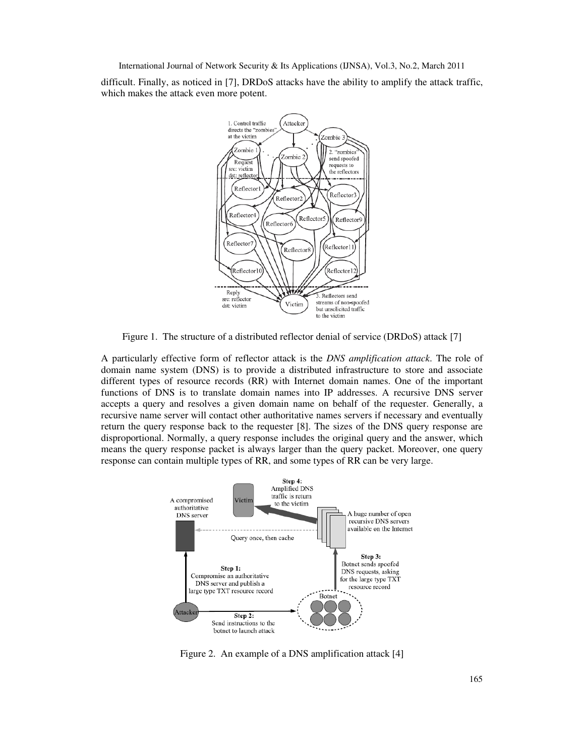difficult. Finally, as noticed in [7], DRDoS attacks have the ability to amplify the attack traffic, which makes the attack even more potent.



Figure 1. The structure of a distributed reflector denial of service (DRDoS) attack [7]

A particularly effective form of reflector attack is the *DNS amplification attack*. The role of domain name system (DNS) is to provide a distributed infrastructure to store and associate different types of resource records (RR) with Internet domain names. One of the important functions of DNS is to translate domain names into IP addresses. A recursive DNS server accepts a query and resolves a given domain name on behalf of the requester. Generally, a recursive name server will contact other authoritative names servers if necessary and eventually return the query response back to the requester [8]. The sizes of the DNS query response are disproportional. Normally, a query response includes the original query and the answer, which means the query response packet is always larger than the query packet. Moreover, one query response can contain multiple types of RR, and some types of RR can be very large.



Figure 2. An example of a DNS amplification attack [4]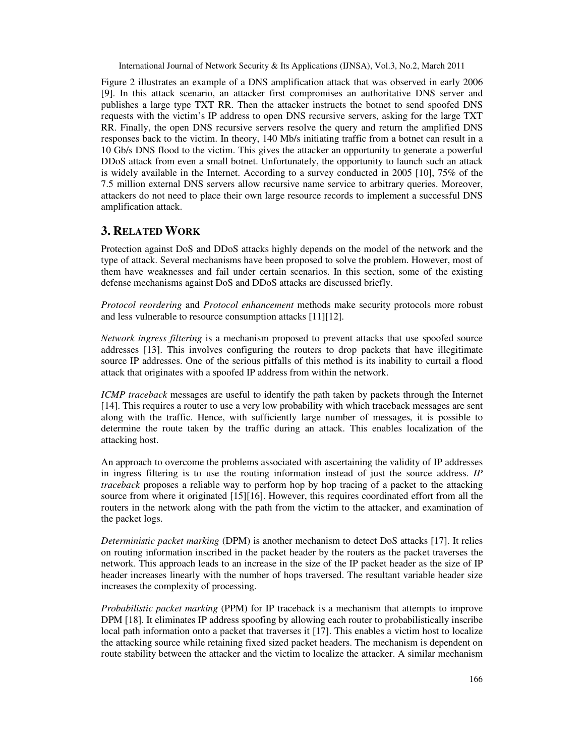Figure 2 illustrates an example of a DNS amplification attack that was observed in early 2006 [9]. In this attack scenario, an attacker first compromises an authoritative DNS server and publishes a large type TXT RR. Then the attacker instructs the botnet to send spoofed DNS requests with the victim's IP address to open DNS recursive servers, asking for the large TXT RR. Finally, the open DNS recursive servers resolve the query and return the amplified DNS responses back to the victim. In theory, 140 Mb/s initiating traffic from a botnet can result in a 10 Gb/s DNS flood to the victim. This gives the attacker an opportunity to generate a powerful DDoS attack from even a small botnet. Unfortunately, the opportunity to launch such an attack is widely available in the Internet. According to a survey conducted in 2005 [10], 75% of the 7.5 million external DNS servers allow recursive name service to arbitrary queries. Moreover, attackers do not need to place their own large resource records to implement a successful DNS amplification attack.

# **3. RELATED WORK**

Protection against DoS and DDoS attacks highly depends on the model of the network and the type of attack. Several mechanisms have been proposed to solve the problem. However, most of them have weaknesses and fail under certain scenarios. In this section, some of the existing defense mechanisms against DoS and DDoS attacks are discussed briefly.

*Protocol reordering* and *Protocol enhancement* methods make security protocols more robust and less vulnerable to resource consumption attacks [11][12].

*Network ingress filtering* is a mechanism proposed to prevent attacks that use spoofed source addresses [13]. This involves configuring the routers to drop packets that have illegitimate source IP addresses. One of the serious pitfalls of this method is its inability to curtail a flood attack that originates with a spoofed IP address from within the network.

*ICMP traceback* messages are useful to identify the path taken by packets through the Internet [14]. This requires a router to use a very low probability with which traceback messages are sent along with the traffic. Hence, with sufficiently large number of messages, it is possible to determine the route taken by the traffic during an attack. This enables localization of the attacking host.

An approach to overcome the problems associated with ascertaining the validity of IP addresses in ingress filtering is to use the routing information instead of just the source address. *IP traceback* proposes a reliable way to perform hop by hop tracing of a packet to the attacking source from where it originated [15][16]. However, this requires coordinated effort from all the routers in the network along with the path from the victim to the attacker, and examination of the packet logs.

*Deterministic packet marking* (DPM) is another mechanism to detect DoS attacks [17]. It relies on routing information inscribed in the packet header by the routers as the packet traverses the network. This approach leads to an increase in the size of the IP packet header as the size of IP header increases linearly with the number of hops traversed. The resultant variable header size increases the complexity of processing.

*Probabilistic packet marking* (PPM) for IP traceback is a mechanism that attempts to improve DPM [18]. It eliminates IP address spoofing by allowing each router to probabilistically inscribe local path information onto a packet that traverses it [17]. This enables a victim host to localize the attacking source while retaining fixed sized packet headers. The mechanism is dependent on route stability between the attacker and the victim to localize the attacker. A similar mechanism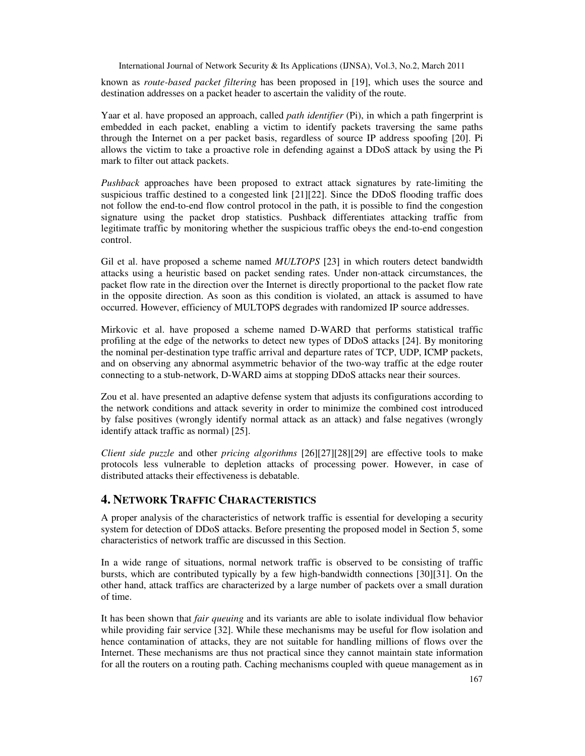known as *route-based packet filtering* has been proposed in [19], which uses the source and destination addresses on a packet header to ascertain the validity of the route.

Yaar et al. have proposed an approach, called *path identifier* (Pi), in which a path fingerprint is embedded in each packet, enabling a victim to identify packets traversing the same paths through the Internet on a per packet basis, regardless of source IP address spoofing [20]. Pi allows the victim to take a proactive role in defending against a DDoS attack by using the Pi mark to filter out attack packets.

*Pushback* approaches have been proposed to extract attack signatures by rate-limiting the suspicious traffic destined to a congested link [21][22]. Since the DDoS flooding traffic does not follow the end-to-end flow control protocol in the path, it is possible to find the congestion signature using the packet drop statistics. Pushback differentiates attacking traffic from legitimate traffic by monitoring whether the suspicious traffic obeys the end-to-end congestion control.

Gil et al. have proposed a scheme named *MULTOPS* [23] in which routers detect bandwidth attacks using a heuristic based on packet sending rates. Under non-attack circumstances, the packet flow rate in the direction over the Internet is directly proportional to the packet flow rate in the opposite direction. As soon as this condition is violated, an attack is assumed to have occurred. However, efficiency of MULTOPS degrades with randomized IP source addresses.

Mirkovic et al. have proposed a scheme named D-WARD that performs statistical traffic profiling at the edge of the networks to detect new types of DDoS attacks [24]. By monitoring the nominal per-destination type traffic arrival and departure rates of TCP, UDP, ICMP packets, and on observing any abnormal asymmetric behavior of the two-way traffic at the edge router connecting to a stub-network, D-WARD aims at stopping DDoS attacks near their sources.

Zou et al. have presented an adaptive defense system that adjusts its configurations according to the network conditions and attack severity in order to minimize the combined cost introduced by false positives (wrongly identify normal attack as an attack) and false negatives (wrongly identify attack traffic as normal) [25].

*Client side puzzle* and other *pricing algorithms* [26][27][28][29] are effective tools to make protocols less vulnerable to depletion attacks of processing power. However, in case of distributed attacks their effectiveness is debatable.

# **4. NETWORK TRAFFIC CHARACTERISTICS**

A proper analysis of the characteristics of network traffic is essential for developing a security system for detection of DDoS attacks. Before presenting the proposed model in Section 5, some characteristics of network traffic are discussed in this Section.

In a wide range of situations, normal network traffic is observed to be consisting of traffic bursts, which are contributed typically by a few high-bandwidth connections [30][31]. On the other hand, attack traffics are characterized by a large number of packets over a small duration of time.

It has been shown that *fair queuing* and its variants are able to isolate individual flow behavior while providing fair service [32]. While these mechanisms may be useful for flow isolation and hence contamination of attacks, they are not suitable for handling millions of flows over the Internet. These mechanisms are thus not practical since they cannot maintain state information for all the routers on a routing path. Caching mechanisms coupled with queue management as in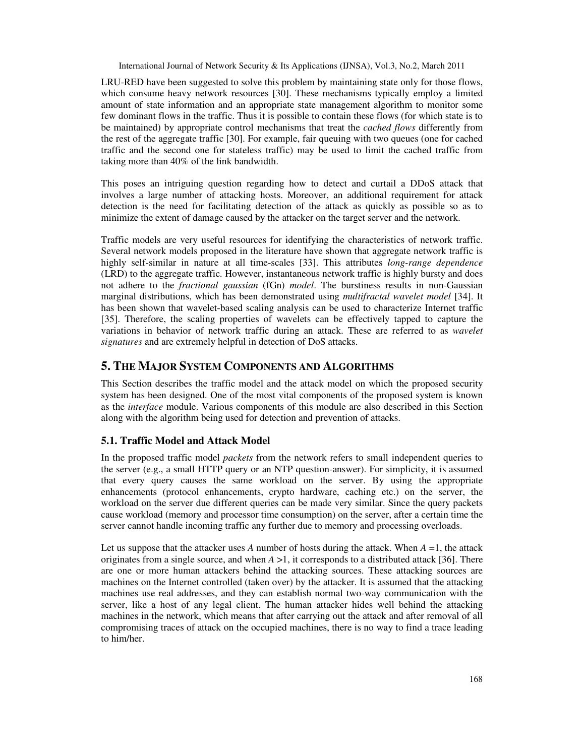LRU-RED have been suggested to solve this problem by maintaining state only for those flows, which consume heavy network resources [30]. These mechanisms typically employ a limited amount of state information and an appropriate state management algorithm to monitor some few dominant flows in the traffic. Thus it is possible to contain these flows (for which state is to be maintained) by appropriate control mechanisms that treat the *cached flows* differently from the rest of the aggregate traffic [30]. For example, fair queuing with two queues (one for cached traffic and the second one for stateless traffic) may be used to limit the cached traffic from taking more than 40% of the link bandwidth.

This poses an intriguing question regarding how to detect and curtail a DDoS attack that involves a large number of attacking hosts. Moreover, an additional requirement for attack detection is the need for facilitating detection of the attack as quickly as possible so as to minimize the extent of damage caused by the attacker on the target server and the network.

Traffic models are very useful resources for identifying the characteristics of network traffic. Several network models proposed in the literature have shown that aggregate network traffic is highly self-similar in nature at all time-scales [33]. This attributes *long-range dependence* (LRD) to the aggregate traffic. However, instantaneous network traffic is highly bursty and does not adhere to the *fractional gaussian* (fGn) *model*. The burstiness results in non-Gaussian marginal distributions, which has been demonstrated using *multifractal wavelet model* [34]. It has been shown that wavelet-based scaling analysis can be used to characterize Internet traffic [35]. Therefore, the scaling properties of wavelets can be effectively tapped to capture the variations in behavior of network traffic during an attack. These are referred to as *wavelet signatures* and are extremely helpful in detection of DoS attacks.

# **5. THE MAJOR SYSTEM COMPONENTS AND ALGORITHMS**

This Section describes the traffic model and the attack model on which the proposed security system has been designed. One of the most vital components of the proposed system is known as the *interface* module. Various components of this module are also described in this Section along with the algorithm being used for detection and prevention of attacks.

## **5.1. Traffic Model and Attack Model**

In the proposed traffic model *packets* from the network refers to small independent queries to the server (e.g., a small HTTP query or an NTP question-answer). For simplicity, it is assumed that every query causes the same workload on the server. By using the appropriate enhancements (protocol enhancements, crypto hardware, caching etc.) on the server, the workload on the server due different queries can be made very similar. Since the query packets cause workload (memory and processor time consumption) on the server, after a certain time the server cannot handle incoming traffic any further due to memory and processing overloads.

Let us suppose that the attacker uses  $A$  number of hosts during the attack. When  $A = 1$ , the attack originates from a single source, and when  $A > 1$ , it corresponds to a distributed attack [36]. There are one or more human attackers behind the attacking sources. These attacking sources are machines on the Internet controlled (taken over) by the attacker. It is assumed that the attacking machines use real addresses, and they can establish normal two-way communication with the server, like a host of any legal client. The human attacker hides well behind the attacking machines in the network, which means that after carrying out the attack and after removal of all compromising traces of attack on the occupied machines, there is no way to find a trace leading to him/her.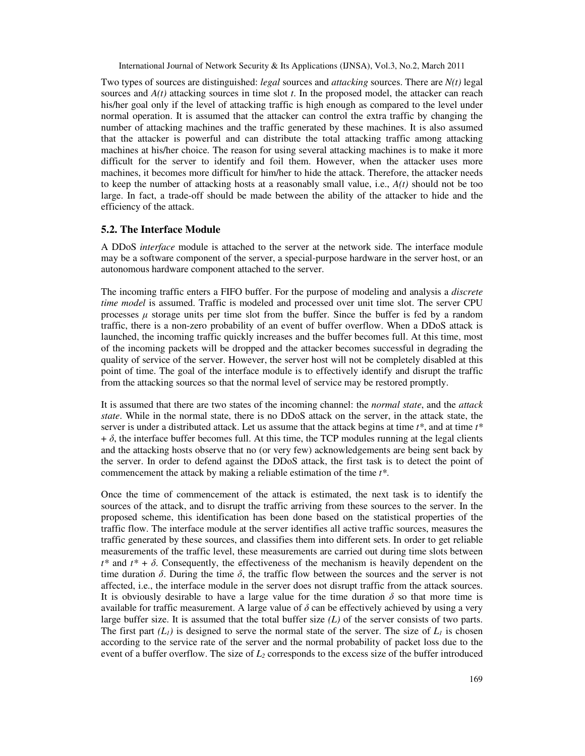Two types of sources are distinguished: *legal* sources and *attacking* sources. There are *N(t)* legal sources and  $A(t)$  attacking sources in time slot *t*. In the proposed model, the attacker can reach his/her goal only if the level of attacking traffic is high enough as compared to the level under normal operation. It is assumed that the attacker can control the extra traffic by changing the number of attacking machines and the traffic generated by these machines. It is also assumed that the attacker is powerful and can distribute the total attacking traffic among attacking machines at his/her choice. The reason for using several attacking machines is to make it more difficult for the server to identify and foil them. However, when the attacker uses more machines, it becomes more difficult for him/her to hide the attack. Therefore, the attacker needs to keep the number of attacking hosts at a reasonably small value, i.e., *A(t)* should not be too large. In fact, a trade-off should be made between the ability of the attacker to hide and the efficiency of the attack.

#### **5.2. The Interface Module**

A DDoS *interface* module is attached to the server at the network side. The interface module may be a software component of the server, a special-purpose hardware in the server host, or an autonomous hardware component attached to the server.

The incoming traffic enters a FIFO buffer. For the purpose of modeling and analysis a *discrete time model* is assumed. Traffic is modeled and processed over unit time slot. The server CPU processes  $\mu$  storage units per time slot from the buffer. Since the buffer is fed by a random traffic, there is a non-zero probability of an event of buffer overflow. When a DDoS attack is launched, the incoming traffic quickly increases and the buffer becomes full. At this time, most of the incoming packets will be dropped and the attacker becomes successful in degrading the quality of service of the server. However, the server host will not be completely disabled at this point of time. The goal of the interface module is to effectively identify and disrupt the traffic from the attacking sources so that the normal level of service may be restored promptly.

It is assumed that there are two states of the incoming channel: the *normal state*, and the *attack state*. While in the normal state, there is no DDoS attack on the server, in the attack state, the server is under a distributed attack. Let us assume that the attack begins at time *t\**, and at time *t\**  $+\delta$ , the interface buffer becomes full. At this time, the TCP modules running at the legal clients and the attacking hosts observe that no (or very few) acknowledgements are being sent back by the server. In order to defend against the DDoS attack, the first task is to detect the point of commencement the attack by making a reliable estimation of the time *t\**.

Once the time of commencement of the attack is estimated, the next task is to identify the sources of the attack, and to disrupt the traffic arriving from these sources to the server. In the proposed scheme, this identification has been done based on the statistical properties of the traffic flow. The interface module at the server identifies all active traffic sources, measures the traffic generated by these sources, and classifies them into different sets. In order to get reliable measurements of the traffic level, these measurements are carried out during time slots between  $t^*$  and  $t^* + \delta$ . Consequently, the effectiveness of the mechanism is heavily dependent on the time duration  $\delta$ . During the time  $\delta$ , the traffic flow between the sources and the server is not affected, i.e., the interface module in the server does not disrupt traffic from the attack sources. It is obviously desirable to have a large value for the time duration  $\delta$  so that more time is available for traffic measurement. A large value of  $\delta$  can be effectively achieved by using a very large buffer size. It is assumed that the total buffer size  $(L)$  of the server consists of two parts. The first part  $(L_l)$  is designed to serve the normal state of the server. The size of  $L_l$  is chosen according to the service rate of the server and the normal probability of packet loss due to the event of a buffer overflow. The size of *L2* corresponds to the excess size of the buffer introduced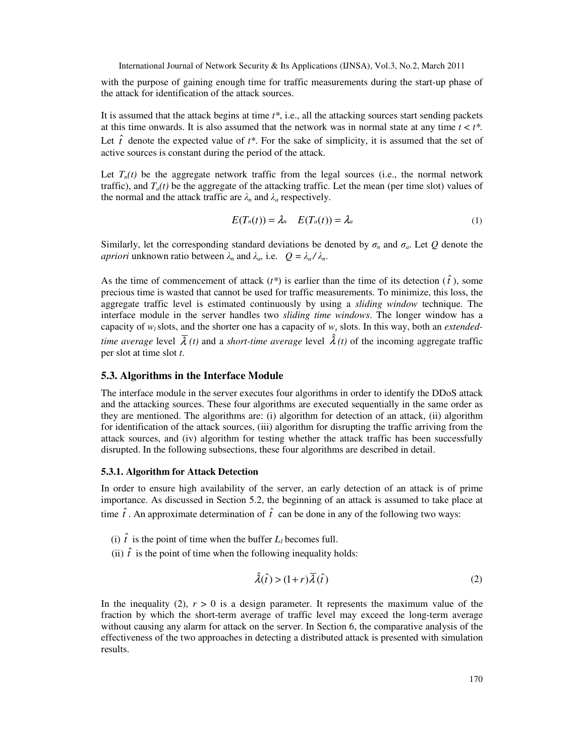with the purpose of gaining enough time for traffic measurements during the start-up phase of the attack for identification of the attack sources.

It is assumed that the attack begins at time *t\**, i.e., all the attacking sources start sending packets at this time onwards. It is also assumed that the network was in normal state at any time *t* < *t\*.* Let  $\hat{t}$  denote the expected value of  $t^*$ . For the sake of simplicity, it is assumed that the set of active sources is constant during the period of the attack.

Let  $T_n(t)$  be the aggregate network traffic from the legal sources (i.e., the normal network traffic), and  $T_a(t)$  be the aggregate of the attacking traffic. Let the mean (per time slot) values of the normal and the attack traffic are  $\lambda_n$  and  $\lambda_q$  respectively.

$$
E(T_n(t)) = \lambda_n \quad E(T_n(t)) = \lambda_n \tag{1}
$$

Similarly, let the corresponding standard deviations be denoted by  $\sigma_n$  and  $\sigma_q$ . Let *Q* denote the *apriori* unknown ratio between  $\lambda_n$  and  $\lambda_q$ , i.e.  $Q = \lambda_q / \lambda_n$ .

As the time of commencement of attack  $(t^*)$  is earlier than the time of its detection  $(\hat{t})$ , some precious time is wasted that cannot be used for traffic measurements. To minimize, this loss, the aggregate traffic level is estimated continuously by using a *sliding window* technique. The interface module in the server handles two *sliding time windows*. The longer window has a capacity of  $w_l$  slots, and the shorter one has a capacity of  $w_s$  slots. In this way, both an *extended*-

*time average* level  $\bar{\lambda}(t)$  and a *short-time average* level  $\hat{\lambda}(t)$  of the incoming aggregate traffic per slot at time slot *t*.

#### **5.3. Algorithms in the Interface Module**

The interface module in the server executes four algorithms in order to identify the DDoS attack and the attacking sources. These four algorithms are executed sequentially in the same order as they are mentioned. The algorithms are: (i) algorithm for detection of an attack, (ii) algorithm for identification of the attack sources, (iii) algorithm for disrupting the traffic arriving from the attack sources, and (iv) algorithm for testing whether the attack traffic has been successfully disrupted. In the following subsections, these four algorithms are described in detail.

#### **5.3.1. Algorithm for Attack Detection**

In order to ensure high availability of the server, an early detection of an attack is of prime importance. As discussed in Section 5.2, the beginning of an attack is assumed to take place at time  $\hat{t}$ . An approximate determination of  $\hat{t}$  can be done in any of the following two ways:

- (i)  $\hat{t}$  is the point of time when the buffer  $L_l$  becomes full.
- (ii)  $\hat{t}$  is the point of time when the following inequality holds:

$$
\hat{\lambda}(\hat{t}) > (1+r)\bar{\lambda}(\hat{t})
$$
\n(2)

In the inequality  $(2)$ ,  $r > 0$  is a design parameter. It represents the maximum value of the fraction by which the short-term average of traffic level may exceed the long-term average without causing any alarm for attack on the server. In Section 6, the comparative analysis of the effectiveness of the two approaches in detecting a distributed attack is presented with simulation results.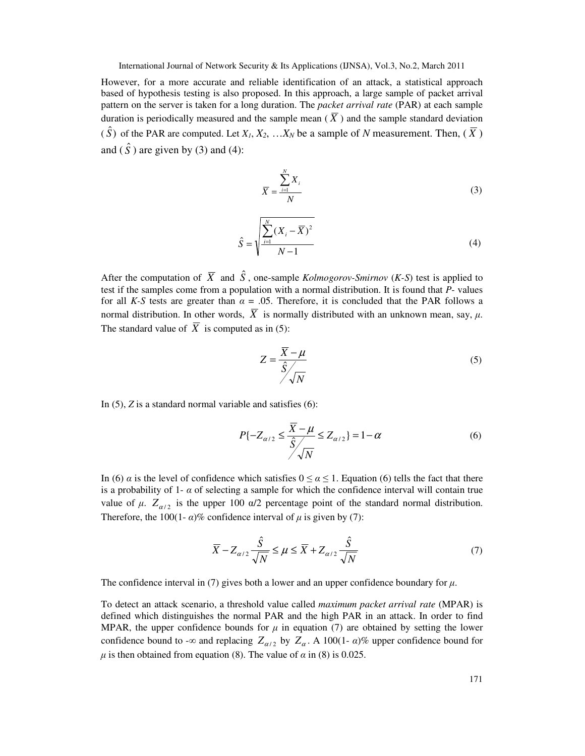However, for a more accurate and reliable identification of an attack, a statistical approach based of hypothesis testing is also proposed. In this approach, a large sample of packet arrival pattern on the server is taken for a long duration. The *packet arrival rate* (PAR) at each sample duration is periodically measured and the sample mean  $(\overline{X})$  and the sample standard deviation  $(S)$  of the PAR are computed. Let  $X_1, X_2, \ldots X_N$  be a sample of *N* measurement. Then,  $(\overline{X})$ and  $(\hat{S})$  are given by (3) and (4):

$$
\overline{X} = \frac{\sum_{i=1}^{N} X_i}{N}
$$
\n(3)

$$
\hat{S} = \sqrt{\frac{\sum_{i=1}^{N} (X_i - \overline{X})^2}{N - 1}}
$$
\n(4)

After the computation of  $\overline{X}$  and  $\hat{S}$ , one-sample *Kolmogorov-Smirnov* (*K-S*) test is applied to test if the samples come from a population with a normal distribution. It is found that *P*- values for all *K-S* tests are greater than  $\alpha = 0.05$ . Therefore, it is concluded that the PAR follows a normal distribution. In other words,  $\overline{X}$  is normally distributed with an unknown mean, say,  $\mu$ . The standard value of  $\overline{X}$  is computed as in (5):

$$
Z = \frac{\overline{X} - \mu}{\hat{S}/\sqrt{N}}\tag{5}
$$

In (5), *Z* is a standard normal variable and satisfies (6):

$$
P\{-Z_{\alpha/2} \le \frac{\overline{X} - \mu}{\hat{S}/\sqrt{N}} \le Z_{\alpha/2}\} = 1 - \alpha
$$
 (6)

In (6)  $\alpha$  is the level of confidence which satisfies  $0 \leq \alpha \leq 1$ . Equation (6) tells the fact that there is a probability of 1-  $\alpha$  of selecting a sample for which the confidence interval will contain true value of  $\mu$ .  $Z_{\alpha/2}$  is the upper 100  $\alpha/2$  percentage point of the standard normal distribution. Therefore, the 100(1- $\alpha$ )% confidence interval of  $\mu$  is given by (7):

$$
\overline{X} - Z_{\alpha/2} \frac{\hat{S}}{\sqrt{N}} \le \mu \le \overline{X} + Z_{\alpha/2} \frac{\hat{S}}{\sqrt{N}}
$$
(7)

The confidence interval in (7) gives both a lower and an upper confidence boundary for  $\mu$ .

To detect an attack scenario, a threshold value called *maximum packet arrival rate* (MPAR) is defined which distinguishes the normal PAR and the high PAR in an attack. In order to find MPAR, the upper confidence bounds for  $\mu$  in equation (7) are obtained by setting the lower confidence bound to - $\infty$  and replacing  $Z_{\alpha/2}$  by  $Z_{\alpha}$ . A 100(1- $\alpha$ )% upper confidence bound for  $\mu$  is then obtained from equation (8). The value of  $\alpha$  in (8) is 0.025.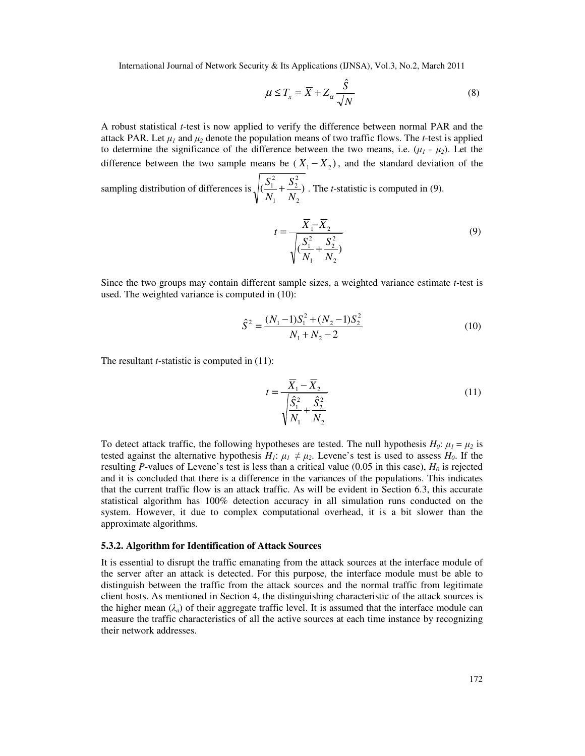$$
\mu \le T_x = \overline{X} + Z_\alpha \frac{\hat{S}}{\sqrt{N}}
$$
\n(8)

A robust statistical *t-*test is now applied to verify the difference between normal PAR and the attack PAR. Let  $\mu_1$  and  $\mu_2$  denote the population means of two traffic flows. The *t*-test is applied to determine the significance of the difference between the two means, i.e.  $(\mu_1 - \mu_2)$ . Let the difference between the two sample means be  $(X_1 - X_2)$ , and the standard deviation of the

sampling distribution of differences is  $\sqrt{\left(\frac{S_1}{N} + \frac{S_2}{N}\right)}$ 2  $\frac{2}{2}$ 1  $\frac{2}{1}$ *N S N*  $\frac{S_1^2}{S_1^2} + \frac{S_2^2}{S_2^2}$ . The *t*-statistic is computed in (9).

$$
t = \frac{\overline{X}_1 - \overline{X}_2}{\sqrt{\left(\frac{S_1^2}{N_1} + \frac{S_2^2}{N_2}\right)}}
$$
(9)

Since the two groups may contain different sample sizes, a weighted variance estimate *t-*test is used. The weighted variance is computed in (10):

$$
\hat{S}^2 = \frac{(N_1 - 1)S_1^2 + (N_2 - 1)S_2^2}{N_1 + N_2 - 2}
$$
\n(10)

The resultant *t*-statistic is computed in (11):

$$
t = \frac{\overline{X}_1 - \overline{X}_2}{\sqrt{\frac{\hat{S}_1^2}{N_1} + \frac{\hat{S}_2^2}{N_2}}}
$$
(11)

To detect attack traffic, the following hypotheses are tested. The null hypothesis  $H_0$ :  $\mu_1 = \mu_2$  is tested against the alternative hypothesis  $H_1$ :  $\mu_1 \neq \mu_2$ . Levene's test is used to assess  $H_0$ . If the resulting *P*-values of Levene's test is less than a critical value (0.05 in this case), *H0* is rejected and it is concluded that there is a difference in the variances of the populations. This indicates that the current traffic flow is an attack traffic. As will be evident in Section 6.3, this accurate statistical algorithm has 100% detection accuracy in all simulation runs conducted on the system. However, it due to complex computational overhead, it is a bit slower than the approximate algorithms.

#### **5.3.2. Algorithm for Identification of Attack Sources**

It is essential to disrupt the traffic emanating from the attack sources at the interface module of the server after an attack is detected. For this purpose, the interface module must be able to distinguish between the traffic from the attack sources and the normal traffic from legitimate client hosts. As mentioned in Section 4, the distinguishing characteristic of the attack sources is the higher mean  $(\lambda_a)$  of their aggregate traffic level. It is assumed that the interface module can measure the traffic characteristics of all the active sources at each time instance by recognizing their network addresses.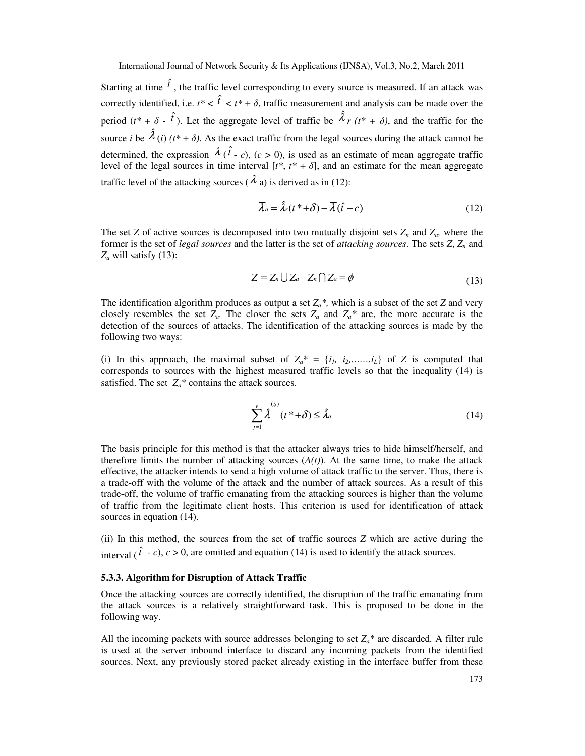Starting at time  $\hat{t}$ , the traffic level corresponding to every source is measured. If an attack was correctly identified, i.e.  $t^* < \hat{t} < t^* + \delta$ , traffic measurement and analysis can be made over the period  $(t^* + \delta - \hat{t})$ . Let the aggregate level of traffic be  $\hat{\lambda}_r$   $(t^* + \delta)$ , and the traffic for the source *i* be  $\hat{\lambda}(i)$  ( $t^* + \delta$ ). As the exact traffic from the legal sources during the attack cannot be determined, the expression  $\overline{\lambda}$  ( $\hat{t}$  - *c*), (*c* > 0), is used as an estimate of mean aggregate traffic level of the legal sources in time interval  $[t^*, t^* + \delta]$ , and an estimate for the mean aggregate traffic level of the attacking sources ( $\overline{\lambda}$  a) is derived as in (12):

$$
\overline{\lambda}_a = \hat{\lambda}_r(t^* + \delta) - \overline{\lambda}(\hat{t} - c) \tag{12}
$$

The set *Z* of active sources is decomposed into two mutually disjoint sets  $Z_n$  and  $Z_a$ , where the former is the set of *legal sources* and the latter is the set of *attacking sources*. The sets *Z*, *Zn* and *Za* will satisfy (13):

$$
Z = Z_n \cup Z_a \quad Z_n \cap Z_a = \phi \tag{13}
$$

The identification algorithm produces as output a set  $Z_a^*$ , which is a subset of the set *Z* and very closely resembles the set  $Z_a$ . The closer the sets  $Z_a$  and  $Z_a^*$  are, the more accurate is the detection of the sources of attacks. The identification of the attacking sources is made by the following two ways:

(i) In this approach, the maximal subset of  $Z_a^* = \{i_1, i_2, \ldots, i_L\}$  of *Z* is computed that corresponds to sources with the highest measured traffic levels so that the inequality (14) is satisfied. The set  $Z_a^*$  contains the attack sources.

$$
\sum_{j=1}^{\nu} \hat{\lambda}^{(i)}(t^*+\delta) \leq \hat{\lambda}_a \tag{14}
$$

The basis principle for this method is that the attacker always tries to hide himself/herself, and therefore limits the number of attacking sources  $(A(t))$ . At the same time, to make the attack effective, the attacker intends to send a high volume of attack traffic to the server. Thus, there is a trade-off with the volume of the attack and the number of attack sources. As a result of this trade-off, the volume of traffic emanating from the attacking sources is higher than the volume of traffic from the legitimate client hosts. This criterion is used for identification of attack sources in equation (14).

(ii) In this method, the sources from the set of traffic sources *Z* which are active during the interval  $(\hat{t} - c)$ ,  $c > 0$ , are omitted and equation (14) is used to identify the attack sources.

#### **5.3.3. Algorithm for Disruption of Attack Traffic**

Once the attacking sources are correctly identified, the disruption of the traffic emanating from the attack sources is a relatively straightforward task. This is proposed to be done in the following way.

All the incoming packets with source addresses belonging to set *Za\** are discarded*.* A filter rule is used at the server inbound interface to discard any incoming packets from the identified sources. Next, any previously stored packet already existing in the interface buffer from these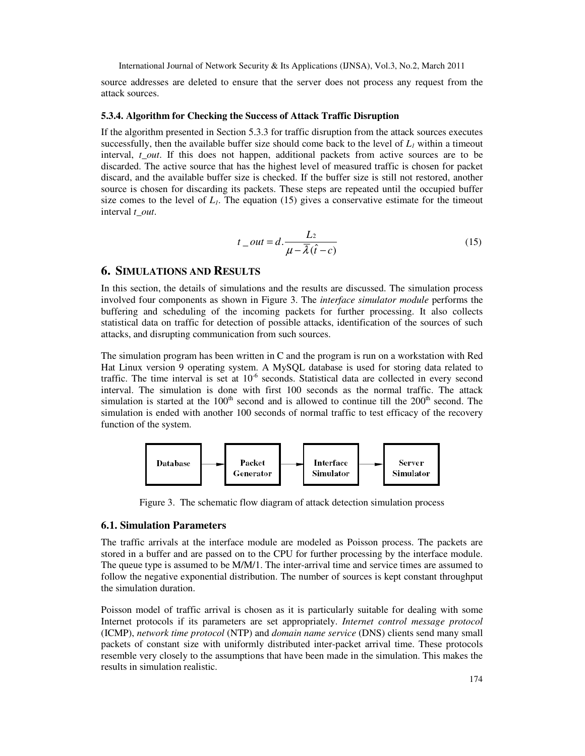source addresses are deleted to ensure that the server does not process any request from the attack sources.

#### **5.3.4. Algorithm for Checking the Success of Attack Traffic Disruption**

If the algorithm presented in Section 5.3.3 for traffic disruption from the attack sources executes successfully, then the available buffer size should come back to the level of  $L<sub>1</sub>$  within a timeout interval, *t\_out*. If this does not happen, additional packets from active sources are to be discarded. The active source that has the highest level of measured traffic is chosen for packet discard, and the available buffer size is checked. If the buffer size is still not restored, another source is chosen for discarding its packets. These steps are repeated until the occupied buffer size comes to the level of  $L<sub>1</sub>$ . The equation (15) gives a conservative estimate for the timeout interval *t\_out*.

$$
t_{out} = d.\frac{L_2}{\mu - \overline{\lambda}(\hat{t} - c)}
$$
\n(15)

#### **6. SIMULATIONS AND RESULTS**

In this section, the details of simulations and the results are discussed. The simulation process involved four components as shown in Figure 3. The *interface simulator module* performs the buffering and scheduling of the incoming packets for further processing. It also collects statistical data on traffic for detection of possible attacks, identification of the sources of such attacks, and disrupting communication from such sources.

The simulation program has been written in C and the program is run on a workstation with Red Hat Linux version 9 operating system. A MySQL database is used for storing data related to traffic. The time interval is set at  $10^{-6}$  seconds. Statistical data are collected in every second interval. The simulation is done with first 100 seconds as the normal traffic. The attack simulation is started at the  $100<sup>th</sup>$  second and is allowed to continue till the  $200<sup>th</sup>$  second. The simulation is ended with another 100 seconds of normal traffic to test efficacy of the recovery function of the system.



Figure 3. The schematic flow diagram of attack detection simulation process

#### **6.1. Simulation Parameters**

The traffic arrivals at the interface module are modeled as Poisson process. The packets are stored in a buffer and are passed on to the CPU for further processing by the interface module. The queue type is assumed to be M/M/1. The inter-arrival time and service times are assumed to follow the negative exponential distribution. The number of sources is kept constant throughput the simulation duration.

Poisson model of traffic arrival is chosen as it is particularly suitable for dealing with some Internet protocols if its parameters are set appropriately. *Internet control message protocol* (ICMP), *network time protocol* (NTP) and *domain name service* (DNS) clients send many small packets of constant size with uniformly distributed inter-packet arrival time. These protocols resemble very closely to the assumptions that have been made in the simulation. This makes the results in simulation realistic.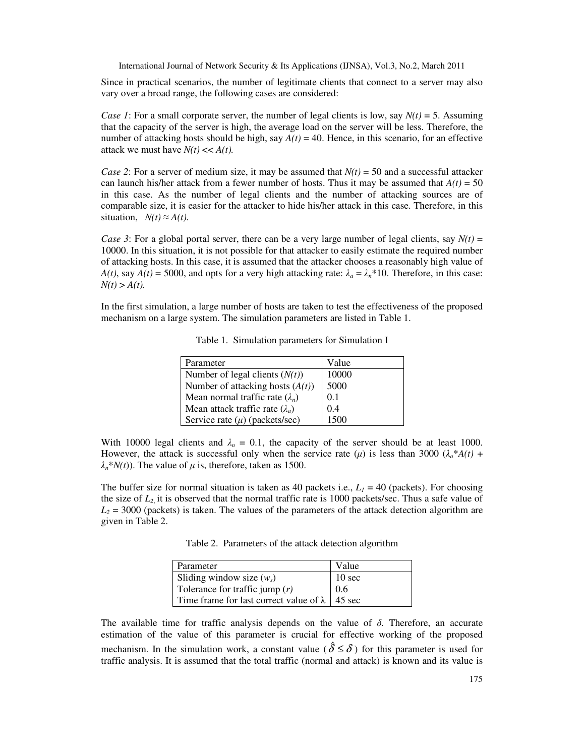Since in practical scenarios, the number of legitimate clients that connect to a server may also vary over a broad range, the following cases are considered:

*Case 1*: For a small corporate server, the number of legal clients is low, say  $N(t) = 5$ . Assuming that the capacity of the server is high, the average load on the server will be less. Therefore, the number of attacking hosts should be high, say  $A(t) = 40$ . Hence, in this scenario, for an effective attack we must have  $N(t) \ll A(t)$ .

*Case 2*: For a server of medium size, it may be assumed that  $N(t) = 50$  and a successful attacker can launch his/her attack from a fewer number of hosts. Thus it may be assumed that  $A(t) = 50$ in this case. As the number of legal clients and the number of attacking sources are of comparable size, it is easier for the attacker to hide his/her attack in this case. Therefore, in this situation,  $N(t) \approx A(t)$ .

*Case 3*: For a global portal server, there can be a very large number of legal clients, say  $N(t)$  = 10000. In this situation, it is not possible for that attacker to easily estimate the required number of attacking hosts. In this case, it is assumed that the attacker chooses a reasonably high value of *A(t)*, say *A(t)* = 5000, and opts for a very high attacking rate:  $\lambda_a = \lambda_n * 10$ . Therefore, in this case:  $N(t) > A(t)$ .

In the first simulation, a large number of hosts are taken to test the effectiveness of the proposed mechanism on a large system. The simulation parameters are listed in Table 1.

| Parameter                              | Value |
|----------------------------------------|-------|
| Number of legal clients $(N(t))$       | 10000 |
| Number of attacking hosts $(A(t))$     | 5000  |
| Mean normal traffic rate $(\lambda_n)$ | 0.1   |
| Mean attack traffic rate $(\lambda_a)$ | 0.4   |
| Service rate $(\mu)$ (packets/sec)     | 1500  |

Table 1. Simulation parameters for Simulation I

With 10000 legal clients and  $\lambda_n = 0.1$ , the capacity of the server should be at least 1000. However, the attack is successful only when the service rate ( $\mu$ ) is less than 3000 ( $\lambda_a * A(t)$  +  $\lambda_n^* N(t)$ ). The value of  $\mu$  is, therefore, taken as 1500.

The buffer size for normal situation is taken as 40 packets i.e.,  $L<sub>I</sub> = 40$  (packets). For choosing the size of  $L_2$ , it is observed that the normal traffic rate is 1000 packets/sec. Thus a safe value of  $L_2$  = 3000 (packets) is taken. The values of the parameters of the attack detection algorithm are given in Table 2.

Table 2. Parameters of the attack detection algorithm

| Parameter                                               | Value            |
|---------------------------------------------------------|------------------|
| Sliding window size $(w_s)$                             | $10 \text{ sec}$ |
| Tolerance for traffic jump $(r)$                        | 0.6              |
| Time frame for last correct value of $\lambda$   45 sec |                  |

The available time for traffic analysis depends on the value of  $\delta$ . Therefore, an accurate estimation of the value of this parameter is crucial for effective working of the proposed mechanism. In the simulation work, a constant value ( $\hat{\delta} \leq \delta$ ) for this parameter is used for traffic analysis. It is assumed that the total traffic (normal and attack) is known and its value is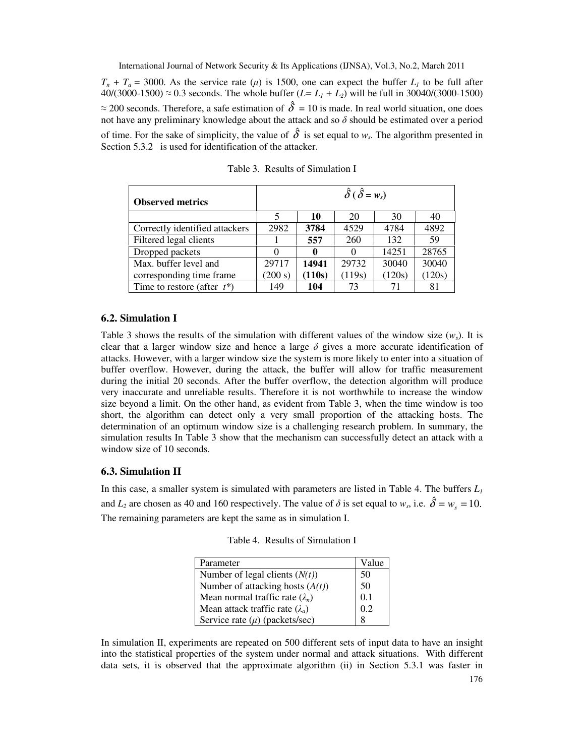$T_n + T_a = 3000$ . As the service rate ( $\mu$ ) is 1500, one can expect the buffer  $L_i$  to be full after  $40/(3000-1500) \approx 0.3$  seconds. The whole buffer  $(L = L_I + L_2)$  will be full in 30040/(3000-1500)  $\approx$  200 seconds. Therefore, a safe estimation of  $\hat{\delta}$  = 10 is made. In real world situation, one does not have any preliminary knowledge about the attack and so  $\delta$  should be estimated over a period of time. For the sake of simplicity, the value of  $\hat{\delta}$  is set equal to  $w_s$ . The algorithm presented in Section 5.3.2 is used for identification of the attacker.

| <b>Observed metrics</b>        | $\hat{\delta}$ ( $\hat{\delta}$ = w <sub>s</sub> ) |        |        |        |       |
|--------------------------------|----------------------------------------------------|--------|--------|--------|-------|
|                                |                                                    | 10     | 20     | 30     | 40    |
| Correctly identified attackers | 2982                                               | 3784   | 4529   | 4784   | 4892  |
| Filtered legal clients         |                                                    | 557    | 260    | 132    | 59    |
| Dropped packets                |                                                    |        |        | 14251  | 28765 |
| Max. buffer level and          | 29717                                              | 14941  | 29732  | 30040  | 30040 |
| corresponding time frame       | (200 s)                                            | (110s) | (119s) | (120s) | 120s  |
| Time to restore (after $t^*$ ) | 149                                                | 104    | 73     | 71     | 81    |

Table 3. Results of Simulation I

#### **6.2. Simulation I**

Table 3 shows the results of the simulation with different values of the window size  $(w<sub>s</sub>)$ . It is clear that a larger window size and hence a large  $\delta$  gives a more accurate identification of attacks. However, with a larger window size the system is more likely to enter into a situation of buffer overflow. However, during the attack, the buffer will allow for traffic measurement during the initial 20 seconds. After the buffer overflow, the detection algorithm will produce very inaccurate and unreliable results. Therefore it is not worthwhile to increase the window size beyond a limit. On the other hand, as evident from Table 3, when the time window is too short, the algorithm can detect only a very small proportion of the attacking hosts. The determination of an optimum window size is a challenging research problem. In summary, the simulation results In Table 3 show that the mechanism can successfully detect an attack with a window size of 10 seconds.

#### **6.3. Simulation II**

In this case, a smaller system is simulated with parameters are listed in Table 4. The buffers *L<sup>1</sup>* and  $L_2$  are chosen as 40 and 160 respectively. The value of  $\delta$  is set equal to  $w_s$ , i.e.  $\hat{\delta} = w_s = 10$ . The remaining parameters are kept the same as in simulation I.

Table 4. Results of Simulation I

| Parameter                              | Value |
|----------------------------------------|-------|
| Number of legal clients $(N(t))$       | 50    |
| Number of attacking hosts $(A(t))$     | 50    |
| Mean normal traffic rate $(\lambda_n)$ | 0.1   |
| Mean attack traffic rate $(\lambda_a)$ | 0.2   |
| Service rate $(\mu)$ (packets/sec)     |       |

In simulation II, experiments are repeated on 500 different sets of input data to have an insight into the statistical properties of the system under normal and attack situations. With different data sets, it is observed that the approximate algorithm (ii) in Section 5.3.1 was faster in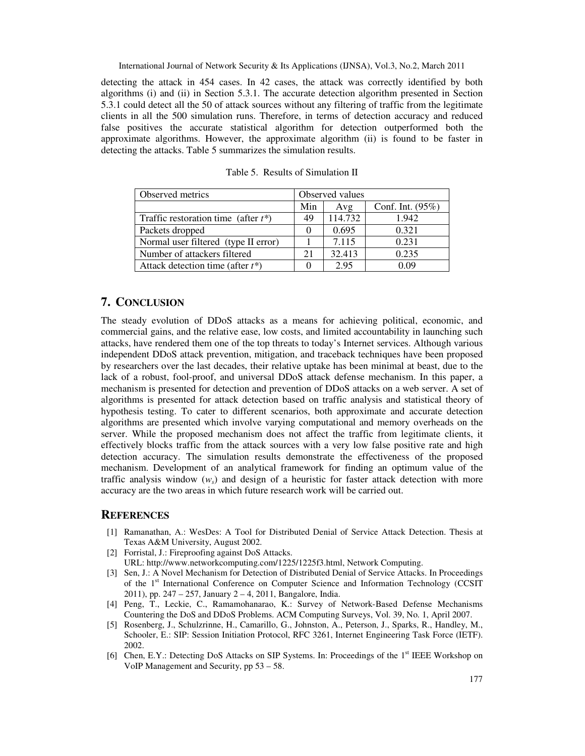detecting the attack in 454 cases. In 42 cases, the attack was correctly identified by both algorithms (i) and (ii) in Section 5.3.1. The accurate detection algorithm presented in Section 5.3.1 could detect all the 50 of attack sources without any filtering of traffic from the legitimate clients in all the 500 simulation runs. Therefore, in terms of detection accuracy and reduced false positives the accurate statistical algorithm for detection outperformed both the approximate algorithms. However, the approximate algorithm (ii) is found to be faster in detecting the attacks. Table 5 summarizes the simulation results.

| Observed metrics                        | Observed values |         |                  |  |
|-----------------------------------------|-----------------|---------|------------------|--|
|                                         | Min             | Avg     | Conf. Int. (95%) |  |
| Traffic restoration time (after $t^*$ ) | 49              | 114.732 | 1.942            |  |
| Packets dropped                         |                 | 0.695   | 0.321            |  |
| Normal user filtered (type II error)    |                 | 7.115   | 0.231            |  |
| Number of attackers filtered            | 21              | 32.413  | 0.235            |  |
| Attack detection time (after $t^*$ )    |                 | 2.95    | 0 09             |  |

Table 5. Results of Simulation II

## **7. CONCLUSION**

The steady evolution of DDoS attacks as a means for achieving political, economic, and commercial gains, and the relative ease, low costs, and limited accountability in launching such attacks, have rendered them one of the top threats to today's Internet services. Although various independent DDoS attack prevention, mitigation, and traceback techniques have been proposed by researchers over the last decades, their relative uptake has been minimal at beast, due to the lack of a robust, fool-proof, and universal DDoS attack defense mechanism. In this paper, a mechanism is presented for detection and prevention of DDoS attacks on a web server. A set of algorithms is presented for attack detection based on traffic analysis and statistical theory of hypothesis testing. To cater to different scenarios, both approximate and accurate detection algorithms are presented which involve varying computational and memory overheads on the server. While the proposed mechanism does not affect the traffic from legitimate clients, it effectively blocks traffic from the attack sources with a very low false positive rate and high detection accuracy. The simulation results demonstrate the effectiveness of the proposed mechanism. Development of an analytical framework for finding an optimum value of the traffic analysis window  $(w<sub>s</sub>)$  and design of a heuristic for faster attack detection with more accuracy are the two areas in which future research work will be carried out.

# **REFERENCES**

- [1] Ramanathan, A.: WesDes: A Tool for Distributed Denial of Service Attack Detection. Thesis at Texas A&M University, August 2002.
- [2] Forristal, J.: Fireproofing against DoS Attacks. URL: http://www.networkcomputing.com/1225/1225f3.html, Network Computing.
- [3] Sen, J.: A Novel Mechanism for Detection of Distributed Denial of Service Attacks. In Proceedings of the 1<sup>st</sup> International Conference on Computer Science and Information Technology (CCSIT 2011), pp. 247 – 257, January 2 – 4, 2011, Bangalore, India.
- [4] Peng, T., Leckie, C., Ramamohanarao, K.: Survey of Network-Based Defense Mechanisms Countering the DoS and DDoS Problems. ACM Computing Surveys, Vol. 39, No. 1, April 2007.
- [5] Rosenberg, J., Schulzrinne, H., Camarillo, G., Johnston, A., Peterson, J., Sparks, R., Handley, M., Schooler, E.: SIP: Session Initiation Protocol, RFC 3261, Internet Engineering Task Force (IETF). 2002.
- [6] Chen, E.Y.: Detecting DoS Attacks on SIP Systems. In: Proceedings of the 1<sup>st</sup> IEEE Workshop on VoIP Management and Security, pp 53 – 58.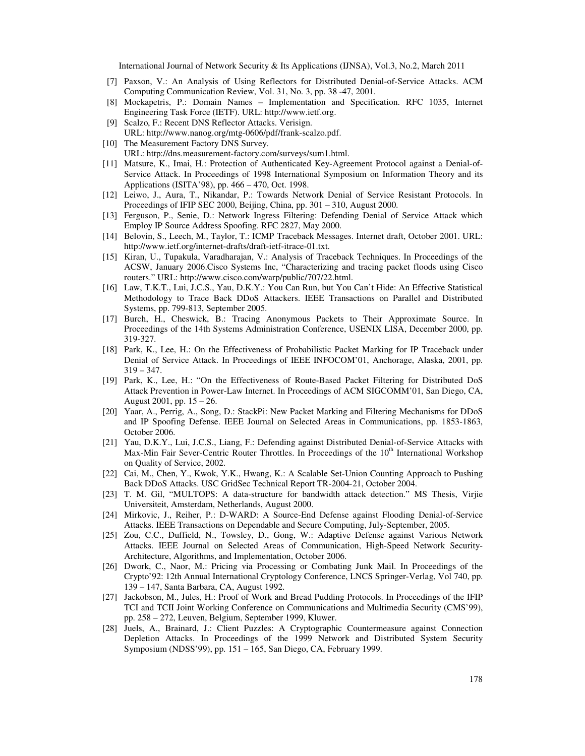- [7] Paxson, V.: An Analysis of Using Reflectors for Distributed Denial-of-Service Attacks. ACM Computing Communication Review, Vol. 31, No. 3, pp. 38 -47, 2001.
- [8] Mockapetris, P.: Domain Names Implementation and Specification. RFC 1035, Internet Engineering Task Force (IETF). URL: http://www.ietf.org.
- [9] Scalzo, F.: Recent DNS Reflector Attacks. Verisign. URL: http://www.nanog.org/mtg-0606/pdf/frank-scalzo.pdf.
- [10] The Measurement Factory DNS Survey. URL: http://dns.measurement-factory.com/surveys/sum1.html.
- [11] Matsure, K., Imai, H.: Protection of Authenticated Key-Agreement Protocol against a Denial-of-Service Attack. In Proceedings of 1998 International Symposium on Information Theory and its Applications (ISITA'98), pp. 466 – 470, Oct. 1998.
- [12] Leiwo, J., Aura, T., Nikandar, P.: Towards Network Denial of Service Resistant Protocols. In Proceedings of IFIP SEC 2000, Beijing, China, pp. 301 – 310, August 2000.
- [13] Ferguson, P., Senie, D.: Network Ingress Filtering: Defending Denial of Service Attack which Employ IP Source Address Spoofing. RFC 2827, May 2000.
- [14] Belovin, S., Leech, M., Taylor, T.: ICMP Traceback Messages. Internet draft, October 2001. URL: http://www.ietf.org/internet-drafts/draft-ietf-itrace-01.txt.
- [15] Kiran, U., Tupakula, Varadharajan, V.: Analysis of Traceback Techniques. In Proceedings of the ACSW, January 2006.Cisco Systems Inc, "Characterizing and tracing packet floods using Cisco routers." URL: http://www.cisco.com/warp/public/707/22.html.
- [16] Law, T.K.T., Lui, J.C.S., Yau, D.K.Y.: You Can Run, but You Can't Hide: An Effective Statistical Methodology to Trace Back DDoS Attackers. IEEE Transactions on Parallel and Distributed Systems, pp. 799-813, September 2005.
- [17] Burch, H., Cheswick, B.: Tracing Anonymous Packets to Their Approximate Source. In Proceedings of the 14th Systems Administration Conference, USENIX LISA, December 2000, pp. 319-327.
- [18] Park, K., Lee, H.: On the Effectiveness of Probabilistic Packet Marking for IP Traceback under Denial of Service Attack. In Proceedings of IEEE INFOCOM'01, Anchorage, Alaska, 2001, pp.  $319 - 347.$
- [19] Park, K., Lee, H.: "On the Effectiveness of Route-Based Packet Filtering for Distributed DoS Attack Prevention in Power-Law Internet. In Proceedings of ACM SIGCOMM'01, San Diego, CA, August 2001, pp. 15 – 26.
- [20] Yaar, A., Perrig, A., Song, D.: StackPi: New Packet Marking and Filtering Mechanisms for DDoS and IP Spoofing Defense. IEEE Journal on Selected Areas in Communications, pp. 1853-1863, October 2006.
- [21] Yau, D.K.Y., Lui, J.C.S., Liang, F.: Defending against Distributed Denial-of-Service Attacks with Max-Min Fair Sever-Centric Router Throttles. In Proceedings of the 10<sup>th</sup> International Workshop on Quality of Service, 2002.
- [22] Cai, M., Chen, Y., Kwok, Y.K., Hwang, K.: A Scalable Set-Union Counting Approach to Pushing Back DDoS Attacks. USC GridSec Technical Report TR-2004-21, October 2004.
- [23] T. M. Gil, "MULTOPS: A data-structure for bandwidth attack detection." MS Thesis, Virjie Universiteit, Amsterdam, Netherlands, August 2000.
- [24] Mirkovic, J., Reiher, P.: D-WARD: A Source-End Defense against Flooding Denial-of-Service Attacks. IEEE Transactions on Dependable and Secure Computing, July-September, 2005.
- [25] Zou, C.C., Duffield, N., Towsley, D., Gong, W.: Adaptive Defense against Various Network Attacks. IEEE Journal on Selected Areas of Communication, High-Speed Network Security-Architecture, Algorithms, and Implementation, October 2006.
- [26] Dwork, C., Naor, M.: Pricing via Processing or Combating Junk Mail. In Proceedings of the Crypto'92: 12th Annual International Cryptology Conference, LNCS Springer-Verlag, Vol 740, pp. 139 – 147, Santa Barbara, CA, August 1992.
- [27] Jackobson, M., Jules, H.: Proof of Work and Bread Pudding Protocols. In Proceedings of the IFIP TCI and TCII Joint Working Conference on Communications and Multimedia Security (CMS'99), pp. 258 – 272, Leuven, Belgium, September 1999, Kluwer.
- [28] Juels, A., Brainard, J.: Client Puzzles: A Cryptographic Countermeasure against Connection Depletion Attacks. In Proceedings of the 1999 Network and Distributed System Security Symposium (NDSS'99), pp. 151 – 165, San Diego, CA, February 1999.